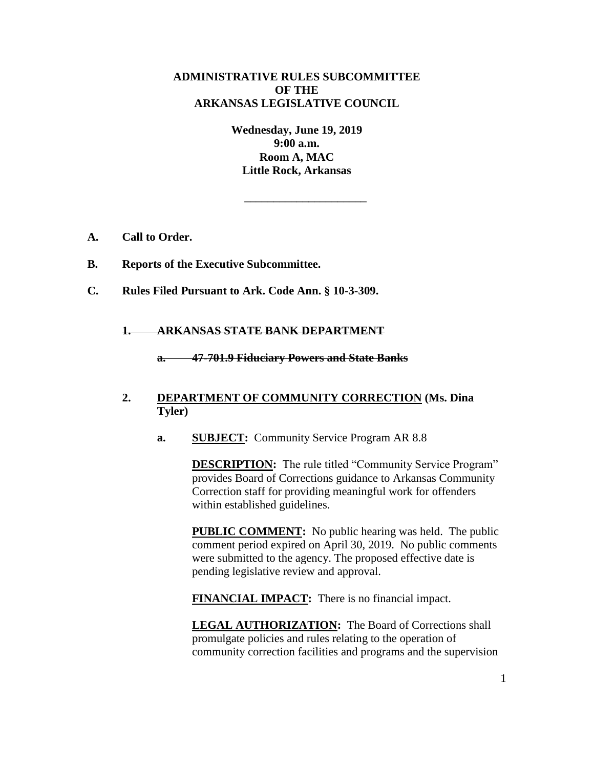# **ADMINISTRATIVE RULES SUBCOMMITTEE OF THE ARKANSAS LEGISLATIVE COUNCIL**

**Wednesday, June 19, 2019 9:00 a.m. Room A, MAC Little Rock, Arkansas**

**\_\_\_\_\_\_\_\_\_\_\_\_\_\_\_\_\_\_\_\_\_**

- **A. Call to Order.**
- **B. Reports of the Executive Subcommittee.**
- **C. Rules Filed Pursuant to Ark. Code Ann. § 10-3-309.**

#### **1. ARKANSAS STATE BANK DEPARTMENT**

**a. 47-701.9 Fiduciary Powers and State Banks**

# **2. DEPARTMENT OF COMMUNITY CORRECTION (Ms. Dina Tyler)**

**a. SUBJECT:** Community Service Program AR 8.8

**DESCRIPTION:** The rule titled "Community Service Program" provides Board of Corrections guidance to Arkansas Community Correction staff for providing meaningful work for offenders within established guidelines.

**PUBLIC COMMENT:** No public hearing was held. The public comment period expired on April 30, 2019. No public comments were submitted to the agency. The proposed effective date is pending legislative review and approval.

**FINANCIAL IMPACT:** There is no financial impact.

**LEGAL AUTHORIZATION:** The Board of Corrections shall promulgate policies and rules relating to the operation of community correction facilities and programs and the supervision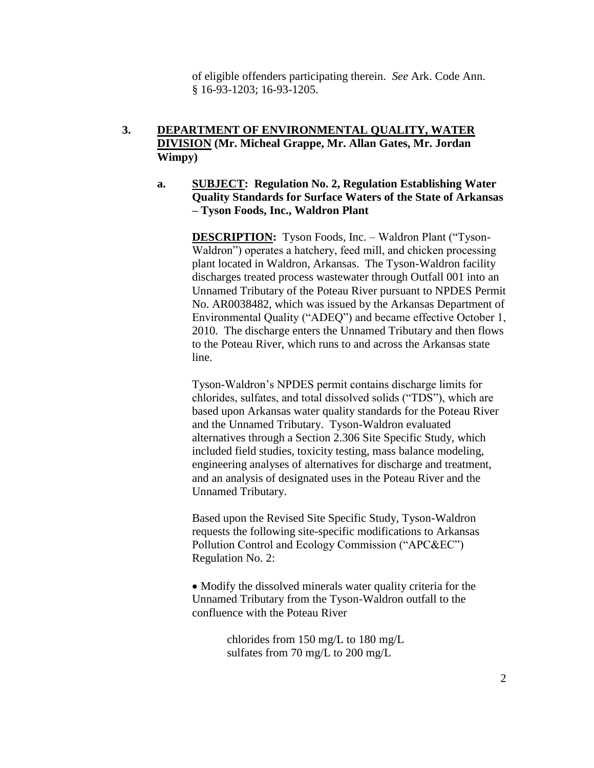of eligible offenders participating therein. *See* Ark. Code Ann. § 16-93-1203; 16-93-1205.

# **3. DEPARTMENT OF ENVIRONMENTAL QUALITY, WATER DIVISION (Mr. Micheal Grappe, Mr. Allan Gates, Mr. Jordan Wimpy)**

**a. SUBJECT: Regulation No. 2, Regulation Establishing Water Quality Standards for Surface Waters of the State of Arkansas – Tyson Foods, Inc., Waldron Plant**

**DESCRIPTION:** Tyson Foods, Inc. – Waldron Plant ("Tyson-Waldron") operates a hatchery, feed mill, and chicken processing plant located in Waldron, Arkansas. The Tyson-Waldron facility discharges treated process wastewater through Outfall 001 into an Unnamed Tributary of the Poteau River pursuant to NPDES Permit No. AR0038482, which was issued by the Arkansas Department of Environmental Quality ("ADEQ") and became effective October 1, 2010. The discharge enters the Unnamed Tributary and then flows to the Poteau River, which runs to and across the Arkansas state line.

Tyson-Waldron's NPDES permit contains discharge limits for chlorides, sulfates, and total dissolved solids ("TDS"), which are based upon Arkansas water quality standards for the Poteau River and the Unnamed Tributary. Tyson-Waldron evaluated alternatives through a Section 2.306 Site Specific Study, which included field studies, toxicity testing, mass balance modeling, engineering analyses of alternatives for discharge and treatment, and an analysis of designated uses in the Poteau River and the Unnamed Tributary.

Based upon the Revised Site Specific Study, Tyson-Waldron requests the following site-specific modifications to Arkansas Pollution Control and Ecology Commission ("APC&EC") Regulation No. 2:

 Modify the dissolved minerals water quality criteria for the Unnamed Tributary from the Tyson-Waldron outfall to the confluence with the Poteau River

> chlorides from 150 mg/L to 180 mg/L sulfates from 70 mg/L to 200 mg/L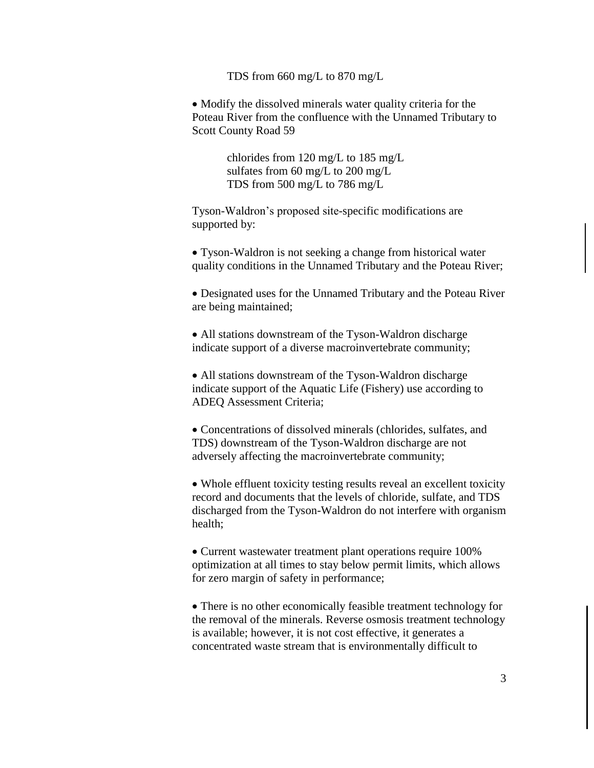TDS from 660 mg/L to 870 mg/L

• Modify the dissolved minerals water quality criteria for the Poteau River from the confluence with the Unnamed Tributary to Scott County Road 59

> chlorides from 120 mg/L to 185 mg/L sulfates from 60 mg/L to 200 mg/L TDS from 500 mg/L to 786 mg/L

Tyson-Waldron's proposed site-specific modifications are supported by:

 Tyson-Waldron is not seeking a change from historical water quality conditions in the Unnamed Tributary and the Poteau River;

 Designated uses for the Unnamed Tributary and the Poteau River are being maintained;

• All stations downstream of the Tyson-Waldron discharge indicate support of a diverse macroinvertebrate community;

• All stations downstream of the Tyson-Waldron discharge indicate support of the Aquatic Life (Fishery) use according to ADEQ Assessment Criteria;

 Concentrations of dissolved minerals (chlorides, sulfates, and TDS) downstream of the Tyson-Waldron discharge are not adversely affecting the macroinvertebrate community;

• Whole effluent toxicity testing results reveal an excellent toxicity record and documents that the levels of chloride, sulfate, and TDS discharged from the Tyson-Waldron do not interfere with organism health;

 Current wastewater treatment plant operations require 100% optimization at all times to stay below permit limits, which allows for zero margin of safety in performance;

 There is no other economically feasible treatment technology for the removal of the minerals. Reverse osmosis treatment technology is available; however, it is not cost effective, it generates a concentrated waste stream that is environmentally difficult to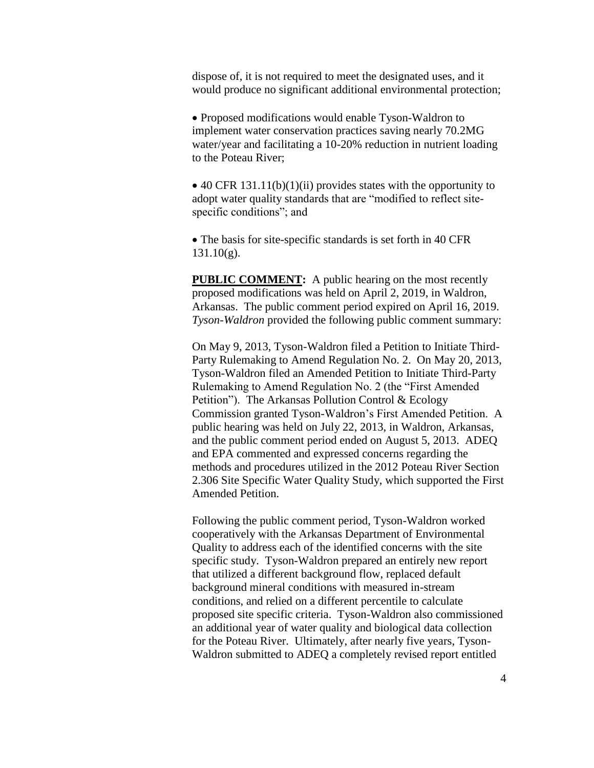dispose of, it is not required to meet the designated uses, and it would produce no significant additional environmental protection;

 Proposed modifications would enable Tyson-Waldron to implement water conservation practices saving nearly 70.2MG water/year and facilitating a 10-20% reduction in nutrient loading to the Poteau River;

 $\bullet$  40 CFR 131.11(b)(1)(ii) provides states with the opportunity to adopt water quality standards that are "modified to reflect sitespecific conditions"; and

 The basis for site-specific standards is set forth in 40 CFR  $131.10(g)$ .

**PUBLIC COMMENT:** A public hearing on the most recently proposed modifications was held on April 2, 2019, in Waldron, Arkansas. The public comment period expired on April 16, 2019. *Tyson-Waldron* provided the following public comment summary:

On May 9, 2013, Tyson-Waldron filed a Petition to Initiate Third-Party Rulemaking to Amend Regulation No. 2. On May 20, 2013, Tyson-Waldron filed an Amended Petition to Initiate Third-Party Rulemaking to Amend Regulation No. 2 (the "First Amended Petition"). The Arkansas Pollution Control & Ecology Commission granted Tyson-Waldron's First Amended Petition. A public hearing was held on July 22, 2013, in Waldron, Arkansas, and the public comment period ended on August 5, 2013. ADEQ and EPA commented and expressed concerns regarding the methods and procedures utilized in the 2012 Poteau River Section 2.306 Site Specific Water Quality Study, which supported the First Amended Petition.

Following the public comment period, Tyson-Waldron worked cooperatively with the Arkansas Department of Environmental Quality to address each of the identified concerns with the site specific study. Tyson-Waldron prepared an entirely new report that utilized a different background flow, replaced default background mineral conditions with measured in-stream conditions, and relied on a different percentile to calculate proposed site specific criteria. Tyson-Waldron also commissioned an additional year of water quality and biological data collection for the Poteau River. Ultimately, after nearly five years, Tyson-Waldron submitted to ADEQ a completely revised report entitled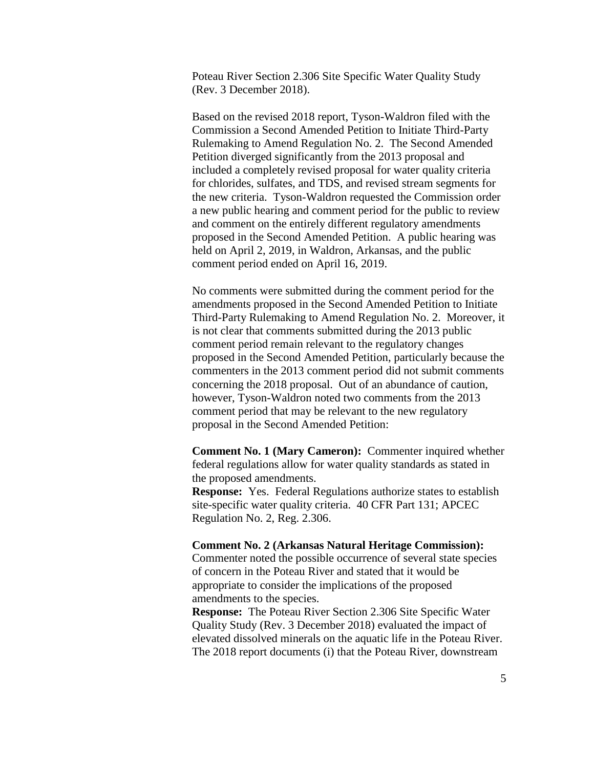Poteau River Section 2.306 Site Specific Water Quality Study (Rev. 3 December 2018).

Based on the revised 2018 report, Tyson-Waldron filed with the Commission a Second Amended Petition to Initiate Third-Party Rulemaking to Amend Regulation No. 2. The Second Amended Petition diverged significantly from the 2013 proposal and included a completely revised proposal for water quality criteria for chlorides, sulfates, and TDS, and revised stream segments for the new criteria. Tyson-Waldron requested the Commission order a new public hearing and comment period for the public to review and comment on the entirely different regulatory amendments proposed in the Second Amended Petition. A public hearing was held on April 2, 2019, in Waldron, Arkansas, and the public comment period ended on April 16, 2019.

No comments were submitted during the comment period for the amendments proposed in the Second Amended Petition to Initiate Third-Party Rulemaking to Amend Regulation No. 2. Moreover, it is not clear that comments submitted during the 2013 public comment period remain relevant to the regulatory changes proposed in the Second Amended Petition, particularly because the commenters in the 2013 comment period did not submit comments concerning the 2018 proposal. Out of an abundance of caution, however, Tyson-Waldron noted two comments from the 2013 comment period that may be relevant to the new regulatory proposal in the Second Amended Petition:

**Comment No. 1 (Mary Cameron):** Commenter inquired whether federal regulations allow for water quality standards as stated in the proposed amendments.

**Response:** Yes. Federal Regulations authorize states to establish site-specific water quality criteria. 40 CFR Part 131; APCEC Regulation No. 2, Reg. 2.306.

# **Comment No. 2 (Arkansas Natural Heritage Commission):**

Commenter noted the possible occurrence of several state species of concern in the Poteau River and stated that it would be appropriate to consider the implications of the proposed amendments to the species.

**Response:** The Poteau River Section 2.306 Site Specific Water Quality Study (Rev. 3 December 2018) evaluated the impact of elevated dissolved minerals on the aquatic life in the Poteau River. The 2018 report documents (i) that the Poteau River, downstream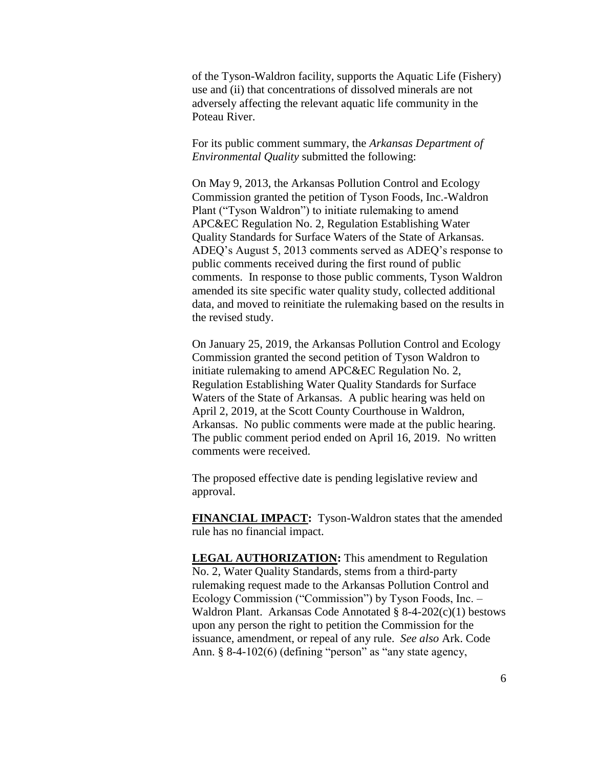of the Tyson-Waldron facility, supports the Aquatic Life (Fishery) use and (ii) that concentrations of dissolved minerals are not adversely affecting the relevant aquatic life community in the Poteau River.

For its public comment summary, the *Arkansas Department of Environmental Quality* submitted the following:

On May 9, 2013, the Arkansas Pollution Control and Ecology Commission granted the petition of Tyson Foods, Inc.-Waldron Plant ("Tyson Waldron") to initiate rulemaking to amend APC&EC Regulation No. 2, Regulation Establishing Water Quality Standards for Surface Waters of the State of Arkansas. ADEQ's August 5, 2013 comments served as ADEQ's response to public comments received during the first round of public comments. In response to those public comments, Tyson Waldron amended its site specific water quality study, collected additional data, and moved to reinitiate the rulemaking based on the results in the revised study.

On January 25, 2019, the Arkansas Pollution Control and Ecology Commission granted the second petition of Tyson Waldron to initiate rulemaking to amend APC&EC Regulation No. 2, Regulation Establishing Water Quality Standards for Surface Waters of the State of Arkansas. A public hearing was held on April 2, 2019, at the Scott County Courthouse in Waldron, Arkansas. No public comments were made at the public hearing. The public comment period ended on April 16, 2019. No written comments were received.

The proposed effective date is pending legislative review and approval.

**FINANCIAL IMPACT:** Tyson-Waldron states that the amended rule has no financial impact.

**LEGAL AUTHORIZATION:** This amendment to Regulation No. 2, Water Quality Standards, stems from a third-party rulemaking request made to the Arkansas Pollution Control and Ecology Commission ("Commission") by Tyson Foods, Inc. – Waldron Plant. Arkansas Code Annotated § 8-4-202(c)(1) bestows upon any person the right to petition the Commission for the issuance, amendment, or repeal of any rule. *See also* Ark. Code Ann. § 8-4-102(6) (defining "person" as "any state agency,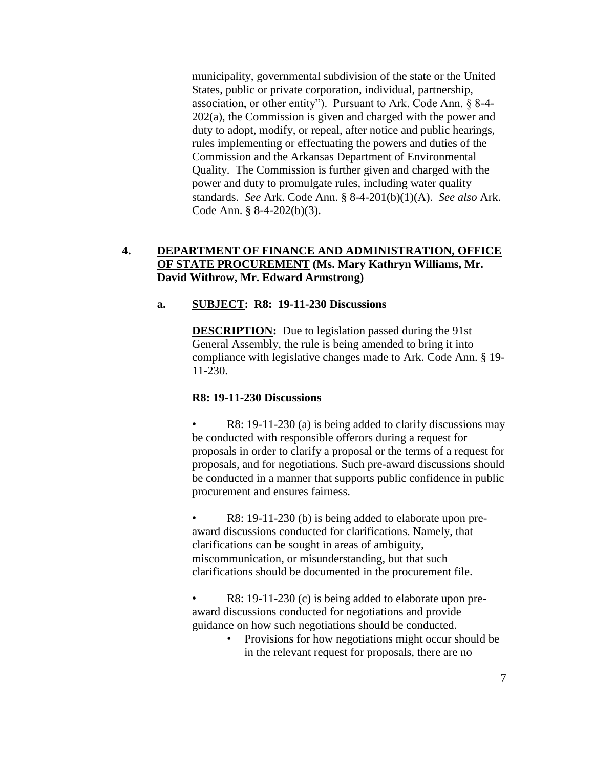municipality, governmental subdivision of the state or the United States, public or private corporation, individual, partnership, association, or other entity"). Pursuant to Ark. Code Ann. § 8-4- 202(a), the Commission is given and charged with the power and duty to adopt, modify, or repeal, after notice and public hearings, rules implementing or effectuating the powers and duties of the Commission and the Arkansas Department of Environmental Quality. The Commission is further given and charged with the power and duty to promulgate rules, including water quality standards. *See* Ark. Code Ann. § 8-4-201(b)(1)(A). *See also* Ark. Code Ann. § 8-4-202(b)(3).

# **4. DEPARTMENT OF FINANCE AND ADMINISTRATION, OFFICE OF STATE PROCUREMENT (Ms. Mary Kathryn Williams, Mr. David Withrow, Mr. Edward Armstrong)**

# **a. SUBJECT: R8: 19-11-230 Discussions**

**DESCRIPTION:** Due to legislation passed during the 91st General Assembly, the rule is being amended to bring it into compliance with legislative changes made to Ark. Code Ann. § 19- 11-230.

# **R8: 19-11-230 Discussions**

R8: 19-11-230 (a) is being added to clarify discussions may be conducted with responsible offerors during a request for proposals in order to clarify a proposal or the terms of a request for proposals, and for negotiations. Such pre-award discussions should be conducted in a manner that supports public confidence in public procurement and ensures fairness.

• R8: 19-11-230 (b) is being added to elaborate upon preaward discussions conducted for clarifications. Namely, that clarifications can be sought in areas of ambiguity, miscommunication, or misunderstanding, but that such clarifications should be documented in the procurement file.

R8: 19-11-230 (c) is being added to elaborate upon preaward discussions conducted for negotiations and provide guidance on how such negotiations should be conducted.

> • Provisions for how negotiations might occur should be in the relevant request for proposals, there are no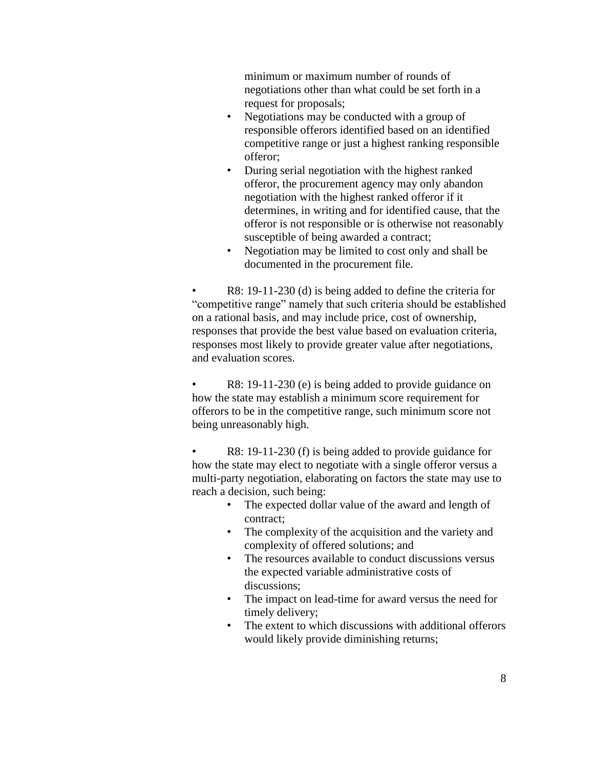minimum or maximum number of rounds of negotiations other than what could be set forth in a request for proposals;

- Negotiations may be conducted with a group of responsible offerors identified based on an identified competitive range or just a highest ranking responsible offeror;
- During serial negotiation with the highest ranked offeror, the procurement agency may only abandon negotiation with the highest ranked offeror if it determines, in writing and for identified cause, that the offeror is not responsible or is otherwise not reasonably susceptible of being awarded a contract;
- Negotiation may be limited to cost only and shall be documented in the procurement file.

R8: 19-11-230 (d) is being added to define the criteria for "competitive range" namely that such criteria should be established on a rational basis, and may include price, cost of ownership, responses that provide the best value based on evaluation criteria, responses most likely to provide greater value after negotiations, and evaluation scores.

R8: 19-11-230 (e) is being added to provide guidance on how the state may establish a minimum score requirement for offerors to be in the competitive range, such minimum score not being unreasonably high.

R8: 19-11-230 (f) is being added to provide guidance for how the state may elect to negotiate with a single offeror versus a multi-party negotiation, elaborating on factors the state may use to reach a decision, such being:

- The expected dollar value of the award and length of contract;
- The complexity of the acquisition and the variety and complexity of offered solutions; and
- The resources available to conduct discussions versus the expected variable administrative costs of discussions;
- The impact on lead-time for award versus the need for timely delivery;
- The extent to which discussions with additional offerors would likely provide diminishing returns;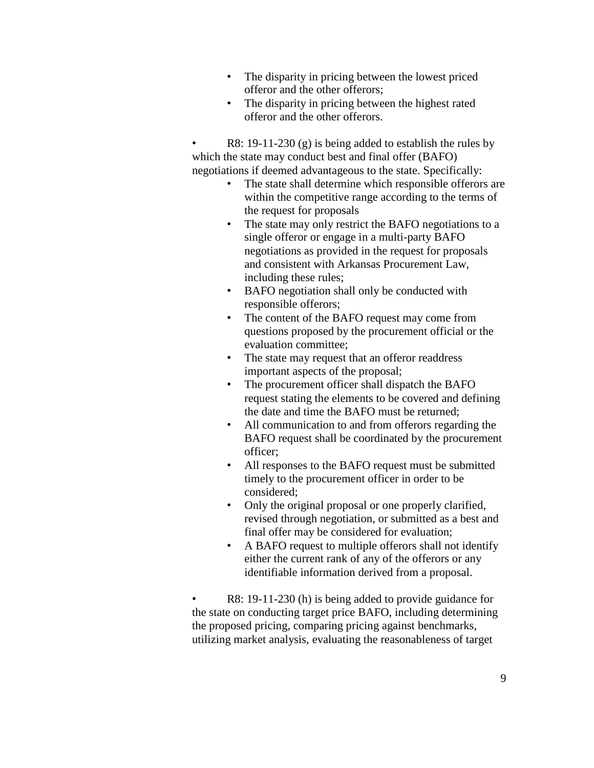- The disparity in pricing between the lowest priced offeror and the other offerors;
- The disparity in pricing between the highest rated offeror and the other offerors.

R8:  $19-11-230$  (g) is being added to establish the rules by which the state may conduct best and final offer (BAFO) negotiations if deemed advantageous to the state. Specifically:

- The state shall determine which responsible offerors are within the competitive range according to the terms of the request for proposals
- The state may only restrict the BAFO negotiations to a single offeror or engage in a multi-party BAFO negotiations as provided in the request for proposals and consistent with Arkansas Procurement Law, including these rules;
- BAFO negotiation shall only be conducted with responsible offerors;
- The content of the BAFO request may come from questions proposed by the procurement official or the evaluation committee;
- The state may request that an offeror readdress important aspects of the proposal;
- The procurement officer shall dispatch the BAFO request stating the elements to be covered and defining the date and time the BAFO must be returned;
- All communication to and from offerors regarding the BAFO request shall be coordinated by the procurement officer;
- All responses to the BAFO request must be submitted timely to the procurement officer in order to be considered;
- Only the original proposal or one properly clarified, revised through negotiation, or submitted as a best and final offer may be considered for evaluation;
- A BAFO request to multiple offerors shall not identify either the current rank of any of the offerors or any identifiable information derived from a proposal.

R8: 19-11-230 (h) is being added to provide guidance for the state on conducting target price BAFO, including determining the proposed pricing, comparing pricing against benchmarks, utilizing market analysis, evaluating the reasonableness of target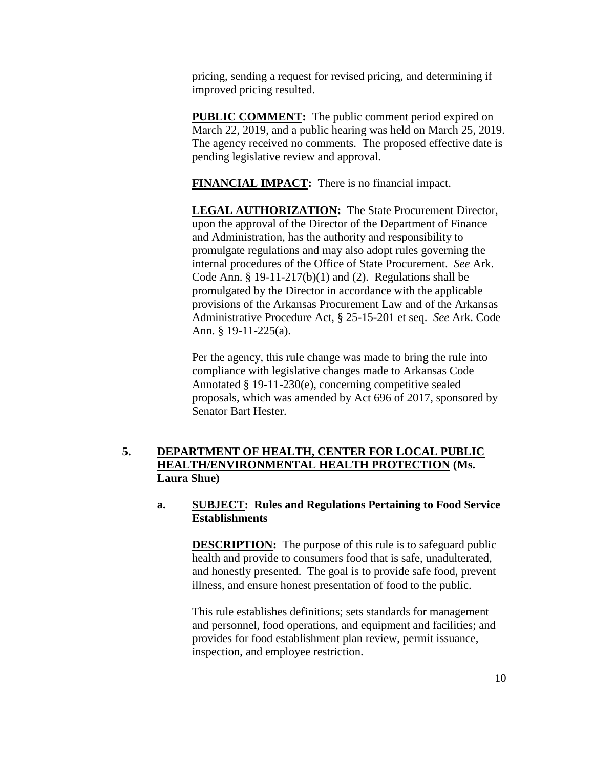pricing, sending a request for revised pricing, and determining if improved pricing resulted.

**PUBLIC COMMENT:** The public comment period expired on March 22, 2019, and a public hearing was held on March 25, 2019. The agency received no comments. The proposed effective date is pending legislative review and approval.

**FINANCIAL IMPACT:** There is no financial impact.

**LEGAL AUTHORIZATION:** The State Procurement Director, upon the approval of the Director of the Department of Finance and Administration, has the authority and responsibility to promulgate regulations and may also adopt rules governing the internal procedures of the Office of State Procurement. *See* Ark. Code Ann.  $\S 19-11-217(b)(1)$  and (2). Regulations shall be promulgated by the Director in accordance with the applicable provisions of the Arkansas Procurement Law and of the Arkansas Administrative Procedure Act, § 25-15-201 et seq. *See* Ark. Code Ann. § 19-11-225(a).

Per the agency, this rule change was made to bring the rule into compliance with legislative changes made to Arkansas Code Annotated § 19-11-230(e), concerning competitive sealed proposals, which was amended by Act 696 of 2017, sponsored by Senator Bart Hester.

# **5. DEPARTMENT OF HEALTH, CENTER FOR LOCAL PUBLIC HEALTH/ENVIRONMENTAL HEALTH PROTECTION (Ms. Laura Shue)**

# **a. SUBJECT: Rules and Regulations Pertaining to Food Service Establishments**

**DESCRIPTION:** The purpose of this rule is to safeguard public health and provide to consumers food that is safe, unadulterated, and honestly presented. The goal is to provide safe food, prevent illness, and ensure honest presentation of food to the public.

This rule establishes definitions; sets standards for management and personnel, food operations, and equipment and facilities; and provides for food establishment plan review, permit issuance, inspection, and employee restriction.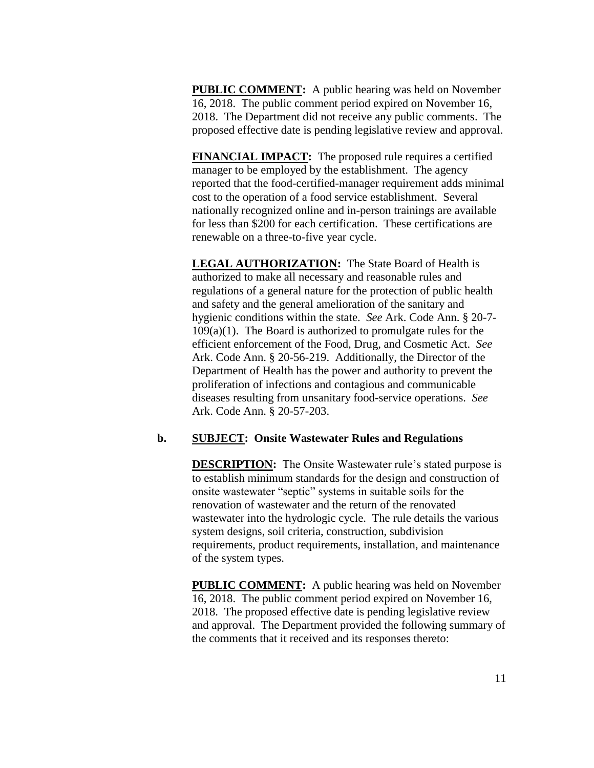**PUBLIC COMMENT:** A public hearing was held on November 16, 2018. The public comment period expired on November 16, 2018. The Department did not receive any public comments. The proposed effective date is pending legislative review and approval.

**FINANCIAL IMPACT:** The proposed rule requires a certified manager to be employed by the establishment. The agency reported that the food-certified-manager requirement adds minimal cost to the operation of a food service establishment. Several nationally recognized online and in-person trainings are available for less than \$200 for each certification. These certifications are renewable on a three-to-five year cycle.

**LEGAL AUTHORIZATION:** The State Board of Health is authorized to make all necessary and reasonable rules and regulations of a general nature for the protection of public health and safety and the general amelioration of the sanitary and hygienic conditions within the state. *See* Ark. Code Ann. § 20-7-  $109(a)(1)$ . The Board is authorized to promulgate rules for the efficient enforcement of the Food, Drug, and Cosmetic Act. *See* Ark. Code Ann. § 20-56-219. Additionally, the Director of the Department of Health has the power and authority to prevent the proliferation of infections and contagious and communicable diseases resulting from unsanitary food-service operations. *See*  Ark. Code Ann. § 20-57-203.

# **b. SUBJECT: Onsite Wastewater Rules and Regulations**

**DESCRIPTION:** The Onsite Wastewater rule's stated purpose is to establish minimum standards for the design and construction of onsite wastewater "septic" systems in suitable soils for the renovation of wastewater and the return of the renovated wastewater into the hydrologic cycle. The rule details the various system designs, soil criteria, construction, subdivision requirements, product requirements, installation, and maintenance of the system types.

**PUBLIC COMMENT:** A public hearing was held on November 16, 2018. The public comment period expired on November 16, 2018. The proposed effective date is pending legislative review and approval. The Department provided the following summary of the comments that it received and its responses thereto: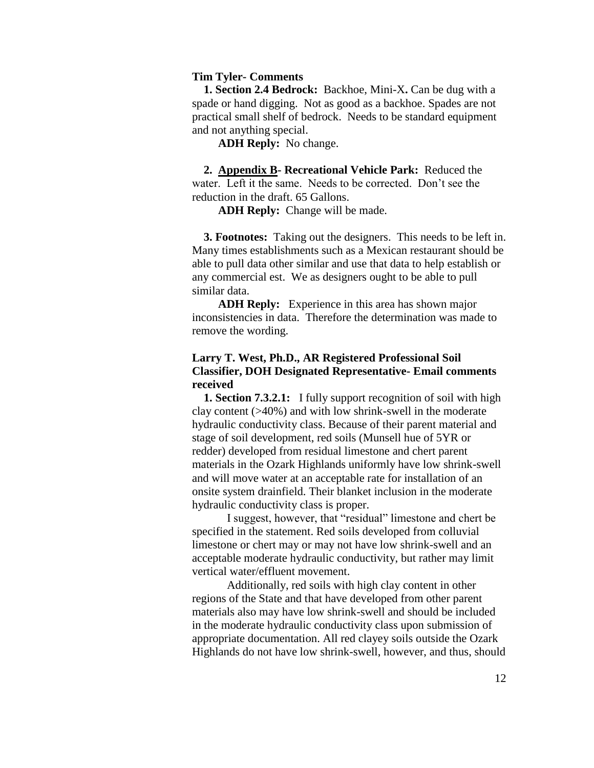#### **Tim Tyler- Comments**

 **1. Section 2.4 Bedrock:** Backhoe, Mini-X**.** Can be dug with a spade or hand digging. Not as good as a backhoe. Spades are not practical small shelf of bedrock. Needs to be standard equipment and not anything special.

 **ADH Reply:** No change.

 **2. Appendix B- Recreational Vehicle Park:** Reduced the water. Left it the same. Needs to be corrected. Don't see the reduction in the draft. 65 Gallons.

 **ADH Reply:** Change will be made.

 **3. Footnotes:** Taking out the designers. This needs to be left in. Many times establishments such as a Mexican restaurant should be able to pull data other similar and use that data to help establish or any commercial est. We as designers ought to be able to pull similar data.

 **ADH Reply:** Experience in this area has shown major inconsistencies in data. Therefore the determination was made to remove the wording.

# **Larry T. West, Ph.D., AR Registered Professional Soil Classifier, DOH Designated Representative- Email comments received**

**1. Section 7.3.2.1:** I fully support recognition of soil with high clay content (>40%) and with low shrink-swell in the moderate hydraulic conductivity class. Because of their parent material and stage of soil development, red soils (Munsell hue of 5YR or redder) developed from residual limestone and chert parent materials in the Ozark Highlands uniformly have low shrink-swell and will move water at an acceptable rate for installation of an onsite system drainfield. Their blanket inclusion in the moderate hydraulic conductivity class is proper.

I suggest, however, that "residual" limestone and chert be specified in the statement. Red soils developed from colluvial limestone or chert may or may not have low shrink-swell and an acceptable moderate hydraulic conductivity, but rather may limit vertical water/effluent movement.

Additionally, red soils with high clay content in other regions of the State and that have developed from other parent materials also may have low shrink-swell and should be included in the moderate hydraulic conductivity class upon submission of appropriate documentation. All red clayey soils outside the Ozark Highlands do not have low shrink-swell, however, and thus, should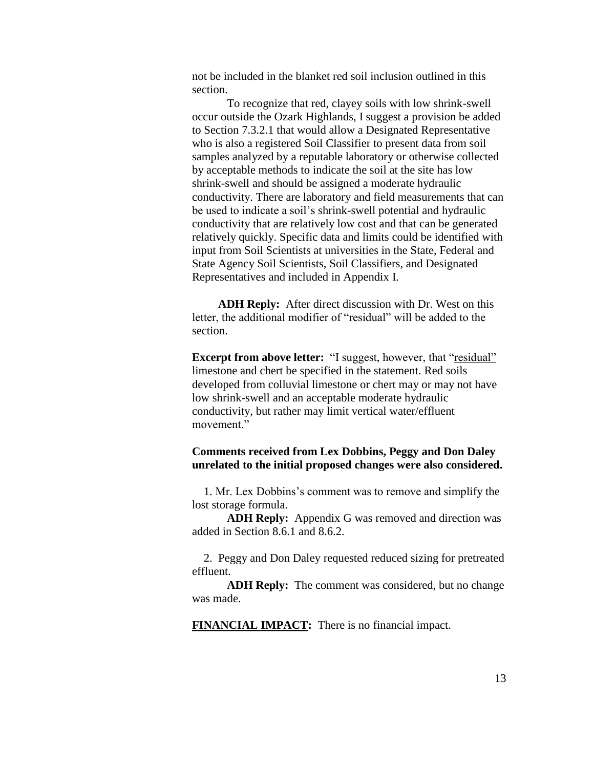not be included in the blanket red soil inclusion outlined in this section.

To recognize that red, clayey soils with low shrink-swell occur outside the Ozark Highlands, I suggest a provision be added to Section 7.3.2.1 that would allow a Designated Representative who is also a registered Soil Classifier to present data from soil samples analyzed by a reputable laboratory or otherwise collected by acceptable methods to indicate the soil at the site has low shrink-swell and should be assigned a moderate hydraulic conductivity. There are laboratory and field measurements that can be used to indicate a soil's shrink-swell potential and hydraulic conductivity that are relatively low cost and that can be generated relatively quickly. Specific data and limits could be identified with input from Soil Scientists at universities in the State, Federal and State Agency Soil Scientists, Soil Classifiers, and Designated Representatives and included in Appendix I.

 **ADH Reply:** After direct discussion with Dr. West on this letter, the additional modifier of "residual" will be added to the section.

**Excerpt from above letter:** "I suggest, however, that "residual" limestone and chert be specified in the statement. Red soils developed from colluvial limestone or chert may or may not have low shrink-swell and an acceptable moderate hydraulic conductivity, but rather may limit vertical water/effluent movement."

#### **Comments received from Lex Dobbins, Peggy and Don Daley unrelated to the initial proposed changes were also considered.**

 1. Mr. Lex Dobbins's comment was to remove and simplify the lost storage formula.

**ADH Reply:** Appendix G was removed and direction was added in Section 8.6.1 and 8.6.2.

 2. Peggy and Don Daley requested reduced sizing for pretreated effluent.

**ADH Reply:** The comment was considered, but no change was made.

**FINANCIAL IMPACT:** There is no financial impact.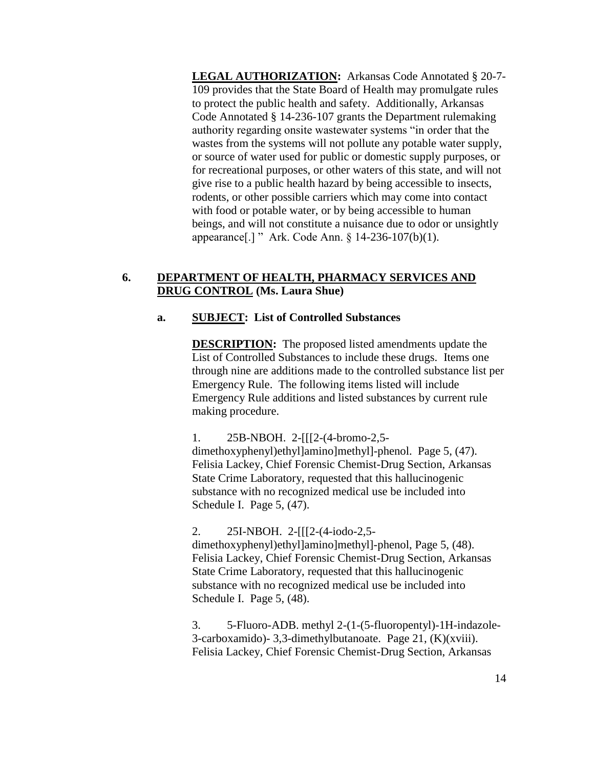**LEGAL AUTHORIZATION:** Arkansas Code Annotated § 20-7- 109 provides that the State Board of Health may promulgate rules to protect the public health and safety. Additionally, Arkansas Code Annotated § 14-236-107 grants the Department rulemaking authority regarding onsite wastewater systems "in order that the wastes from the systems will not pollute any potable water supply, or source of water used for public or domestic supply purposes, or for recreational purposes, or other waters of this state, and will not give rise to a public health hazard by being accessible to insects, rodents, or other possible carriers which may come into contact with food or potable water, or by being accessible to human beings, and will not constitute a nuisance due to odor or unsightly appearance[.] " Ark. Code Ann. § 14-236-107(b)(1).

# **6. DEPARTMENT OF HEALTH, PHARMACY SERVICES AND DRUG CONTROL (Ms. Laura Shue)**

# **a. SUBJECT: List of Controlled Substances**

**DESCRIPTION:** The proposed listed amendments update the List of Controlled Substances to include these drugs. Items one through nine are additions made to the controlled substance list per Emergency Rule. The following items listed will include Emergency Rule additions and listed substances by current rule making procedure.

1. 25B-NBOH. 2-[[[2-(4-bromo-2,5 dimethoxyphenyl)ethyl]amino]methyl]-phenol. Page 5, (47). Felisia Lackey, Chief Forensic Chemist-Drug Section, Arkansas State Crime Laboratory, requested that this hallucinogenic substance with no recognized medical use be included into Schedule I. Page 5, (47).

2. 25I-NBOH. 2-[[[2-(4-iodo-2,5 dimethoxyphenyl)ethyl]amino]methyl]-phenol, Page 5, (48). Felisia Lackey, Chief Forensic Chemist-Drug Section, Arkansas State Crime Laboratory, requested that this hallucinogenic substance with no recognized medical use be included into Schedule I. Page 5, (48).

3. 5-Fluoro-ADB. methyl 2-(1-(5-fluoropentyl)-1H-indazole-3-carboxamido)- 3,3-dimethylbutanoate. Page 21, (K)(xviii). Felisia Lackey, Chief Forensic Chemist-Drug Section, Arkansas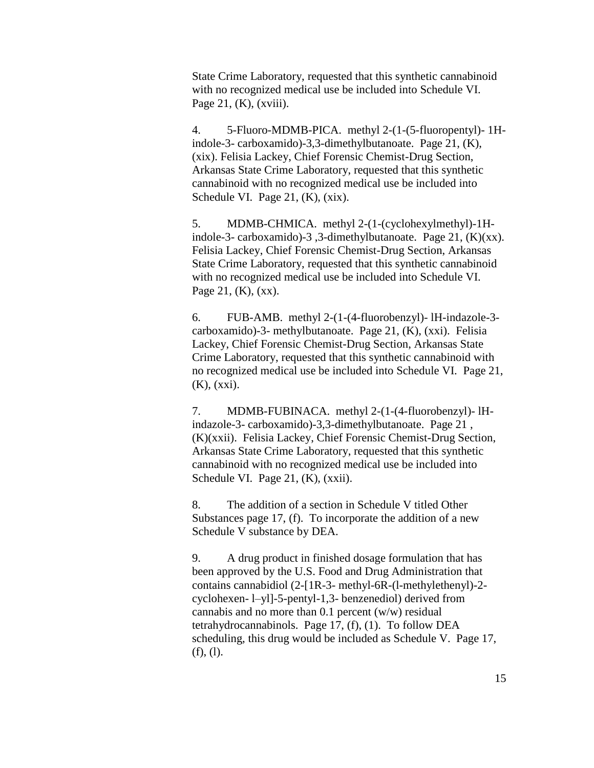State Crime Laboratory, requested that this synthetic cannabinoid with no recognized medical use be included into Schedule VI. Page 21,  $(K)$ ,  $(xviii)$ .

4. 5-Fluoro-MDMB-PICA. methyl 2-(1-(5-fluoropentyl)- 1Hindole-3- carboxamido)-3,3-dimethylbutanoate. Page 21, (K), (xix). Felisia Lackey, Chief Forensic Chemist-Drug Section, Arkansas State Crime Laboratory, requested that this synthetic cannabinoid with no recognized medical use be included into Schedule VI. Page 21, (K), (xix).

5. MDMB-CHMICA. methyl 2-(1-(cyclohexylmethyl)-1Hindole-3- carboxamido)-3 ,3-dimethylbutanoate. Page 21, (K)(xx). Felisia Lackey, Chief Forensic Chemist-Drug Section, Arkansas State Crime Laboratory, requested that this synthetic cannabinoid with no recognized medical use be included into Schedule VI. Page 21, (K), (xx).

6. FUB-AMB. methyl 2-(1-(4-fluorobenzyl)- lH-indazole-3 carboxamido)-3- methylbutanoate. Page 21, (K), (xxi). Felisia Lackey, Chief Forensic Chemist-Drug Section, Arkansas State Crime Laboratory, requested that this synthetic cannabinoid with no recognized medical use be included into Schedule VI. Page 21, (K), (xxi).

7. MDMB-FUBINACA. methyl 2-(1-(4-fluorobenzyl)- lHindazole-3- carboxamido)-3,3-dimethylbutanoate. Page 21 , (K)(xxii). Felisia Lackey, Chief Forensic Chemist-Drug Section, Arkansas State Crime Laboratory, requested that this synthetic cannabinoid with no recognized medical use be included into Schedule VI. Page 21, (K), (xxii).

8. The addition of a section in Schedule V titled Other Substances page 17, (f). To incorporate the addition of a new Schedule V substance by DEA.

9. A drug product in finished dosage formulation that has been approved by the U.S. Food and Drug Administration that contains cannabidiol (2-[1R-3- methyl-6R-(l-methylethenyl)-2 cyclohexen- l–yl]-5-pentyl-1,3- benzenediol) derived from cannabis and no more than 0.1 percent (w/w) residual tetrahydrocannabinols. Page 17, (f), (1). To follow DEA scheduling, this drug would be included as Schedule V. Page 17, (f), (l).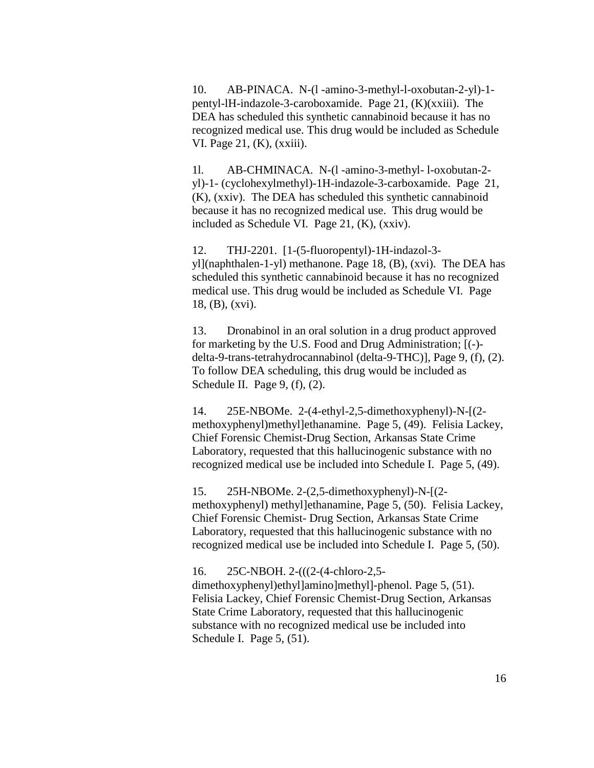10. AB-PINACA. N-(l -amino-3-methyl-l-oxobutan-2-yl)-1 pentyl-lH-indazole-3-caroboxamide. Page 21, (K)(xxiii). The DEA has scheduled this synthetic cannabinoid because it has no recognized medical use. This drug would be included as Schedule VI. Page 21, (K), (xxiii).

1l. AB-CHMINACA. N-(l -amino-3-methyl- l-oxobutan-2 yl)-1- (cyclohexylmethyl)-1H-indazole-3-carboxamide. Page 21, (K), (xxiv). The DEA has scheduled this synthetic cannabinoid because it has no recognized medical use. This drug would be included as Schedule VI. Page 21, (K), (xxiv).

12. THJ-2201. [1-(5-fluoropentyl)-1H-indazol-3 yl](naphthalen-1-yl) methanone. Page 18, (B), (xvi). The DEA has scheduled this synthetic cannabinoid because it has no recognized medical use. This drug would be included as Schedule VI. Page 18, (B), (xvi).

13. Dronabinol in an oral solution in a drug product approved for marketing by the U.S. Food and Drug Administration; [(-) delta-9-trans-tetrahydrocannabinol (delta-9-THC)], Page 9, (f), (2). To follow DEA scheduling, this drug would be included as Schedule II. Page 9, (f), (2).

14. 25E-NBOMe. 2-(4-ethyl-2,5-dimethoxyphenyl)-N-[(2 methoxyphenyl)methyl]ethanamine. Page 5, (49). Felisia Lackey, Chief Forensic Chemist-Drug Section, Arkansas State Crime Laboratory, requested that this hallucinogenic substance with no recognized medical use be included into Schedule I. Page 5, (49).

15. 25H-NBOMe. 2-(2,5-dimethoxyphenyl)-N-[(2 methoxyphenyl) methyl]ethanamine, Page 5, (50). Felisia Lackey, Chief Forensic Chemist- Drug Section, Arkansas State Crime Laboratory, requested that this hallucinogenic substance with no recognized medical use be included into Schedule I. Page 5, (50).

16. 25C-NBOH. 2-(((2-(4-chloro-2,5 dimethoxyphenyl)ethyl]amino]methyl]-phenol. Page 5, (51). Felisia Lackey, Chief Forensic Chemist-Drug Section, Arkansas State Crime Laboratory, requested that this hallucinogenic

substance with no recognized medical use be included into Schedule I. Page 5,  $(51)$ .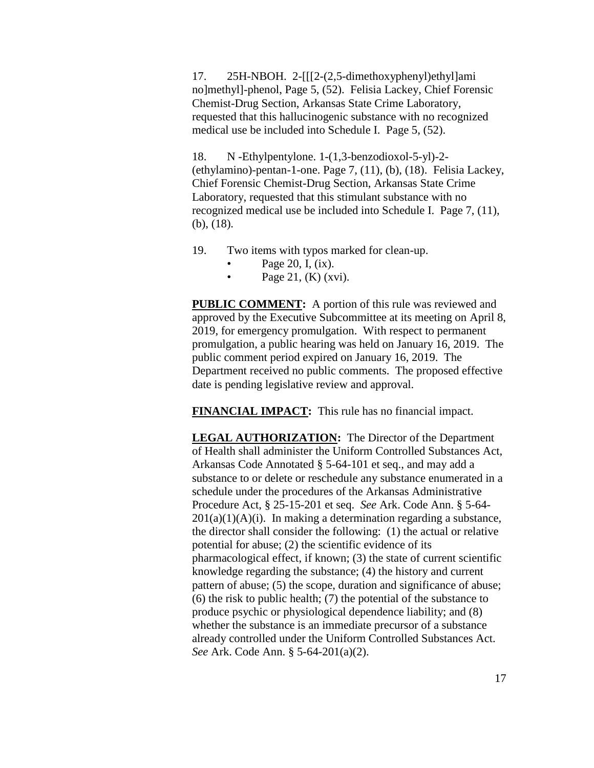17. 25H-NBOH. 2-[[[2-(2,5-dimethoxyphenyl)ethyl]ami no]methyl]-phenol, Page 5, (52). Felisia Lackey, Chief Forensic Chemist-Drug Section, Arkansas State Crime Laboratory, requested that this hallucinogenic substance with no recognized medical use be included into Schedule I. Page 5, (52).

18. N -Ethylpentylone. 1-(1,3-benzodioxol-5-yl)-2- (ethylamino)-pentan-1-one. Page 7, (11), (b), (18). Felisia Lackey, Chief Forensic Chemist-Drug Section, Arkansas State Crime Laboratory, requested that this stimulant substance with no recognized medical use be included into Schedule I. Page 7, (11), (b), (18).

- 19. Two items with typos marked for clean-up.
	- Page 20, I,  $(ix)$ .
	- Page 21,  $(K)$  (xvi).

**PUBLIC COMMENT:** A portion of this rule was reviewed and approved by the Executive Subcommittee at its meeting on April 8, 2019, for emergency promulgation. With respect to permanent promulgation, a public hearing was held on January 16, 2019. The public comment period expired on January 16, 2019. The Department received no public comments. The proposed effective date is pending legislative review and approval.

**FINANCIAL IMPACT:** This rule has no financial impact.

**LEGAL AUTHORIZATION:** The Director of the Department of Health shall administer the Uniform Controlled Substances Act, Arkansas Code Annotated § 5-64-101 et seq., and may add a substance to or delete or reschedule any substance enumerated in a schedule under the procedures of the Arkansas Administrative Procedure Act, § 25-15-201 et seq. *See* Ark. Code Ann. § 5-64-  $201(a)(1)(A)(i)$ . In making a determination regarding a substance, the director shall consider the following: (1) the actual or relative potential for abuse; (2) the scientific evidence of its pharmacological effect, if known; (3) the state of current scientific knowledge regarding the substance; (4) the history and current pattern of abuse; (5) the scope, duration and significance of abuse; (6) the risk to public health; (7) the potential of the substance to produce psychic or physiological dependence liability; and (8) whether the substance is an immediate precursor of a substance already controlled under the Uniform Controlled Substances Act. *See* Ark. Code Ann. § 5-64-201(a)(2).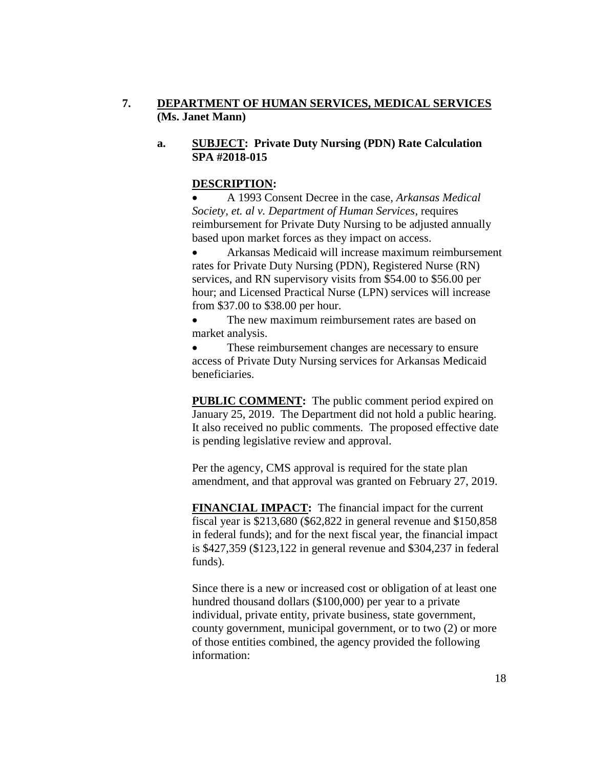# **7. DEPARTMENT OF HUMAN SERVICES, MEDICAL SERVICES (Ms. Janet Mann)**

# **a. SUBJECT: Private Duty Nursing (PDN) Rate Calculation SPA #2018-015**

# **DESCRIPTION:**

 A 1993 Consent Decree in the case, *Arkansas Medical Society, et. al v. Department of Human Services*, requires reimbursement for Private Duty Nursing to be adjusted annually based upon market forces as they impact on access.

 Arkansas Medicaid will increase maximum reimbursement rates for Private Duty Nursing (PDN), Registered Nurse (RN) services, and RN supervisory visits from \$54.00 to \$56.00 per hour; and Licensed Practical Nurse (LPN) services will increase from \$37.00 to \$38.00 per hour.

 The new maximum reimbursement rates are based on market analysis.

 These reimbursement changes are necessary to ensure access of Private Duty Nursing services for Arkansas Medicaid beneficiaries.

**PUBLIC COMMENT:** The public comment period expired on January 25, 2019. The Department did not hold a public hearing. It also received no public comments. The proposed effective date is pending legislative review and approval.

Per the agency, CMS approval is required for the state plan amendment, and that approval was granted on February 27, 2019.

**FINANCIAL IMPACT:** The financial impact for the current fiscal year is \$213,680 (\$62,822 in general revenue and \$150,858 in federal funds); and for the next fiscal year, the financial impact is \$427,359 (\$123,122 in general revenue and \$304,237 in federal funds).

Since there is a new or increased cost or obligation of at least one hundred thousand dollars (\$100,000) per year to a private individual, private entity, private business, state government, county government, municipal government, or to two (2) or more of those entities combined, the agency provided the following information: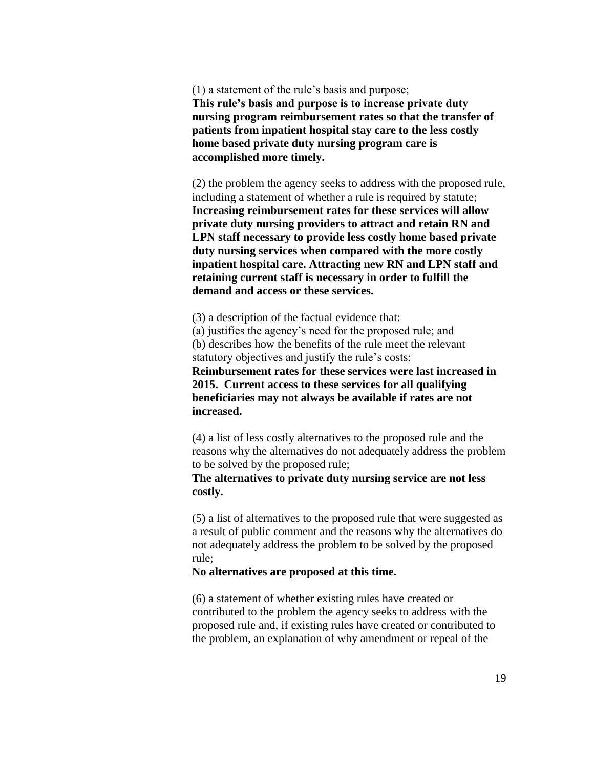(1) a statement of the rule's basis and purpose; **This rule's basis and purpose is to increase private duty nursing program reimbursement rates so that the transfer of patients from inpatient hospital stay care to the less costly home based private duty nursing program care is accomplished more timely.**

(2) the problem the agency seeks to address with the proposed rule, including a statement of whether a rule is required by statute; **Increasing reimbursement rates for these services will allow private duty nursing providers to attract and retain RN and LPN staff necessary to provide less costly home based private duty nursing services when compared with the more costly inpatient hospital care. Attracting new RN and LPN staff and retaining current staff is necessary in order to fulfill the demand and access or these services.**

(3) a description of the factual evidence that:

(a) justifies the agency's need for the proposed rule; and (b) describes how the benefits of the rule meet the relevant statutory objectives and justify the rule's costs;

**Reimbursement rates for these services were last increased in 2015. Current access to these services for all qualifying beneficiaries may not always be available if rates are not increased.**

(4) a list of less costly alternatives to the proposed rule and the reasons why the alternatives do not adequately address the problem to be solved by the proposed rule;

**The alternatives to private duty nursing service are not less costly.** 

(5) a list of alternatives to the proposed rule that were suggested as a result of public comment and the reasons why the alternatives do not adequately address the problem to be solved by the proposed rule;

#### **No alternatives are proposed at this time.**

(6) a statement of whether existing rules have created or contributed to the problem the agency seeks to address with the proposed rule and, if existing rules have created or contributed to the problem, an explanation of why amendment or repeal of the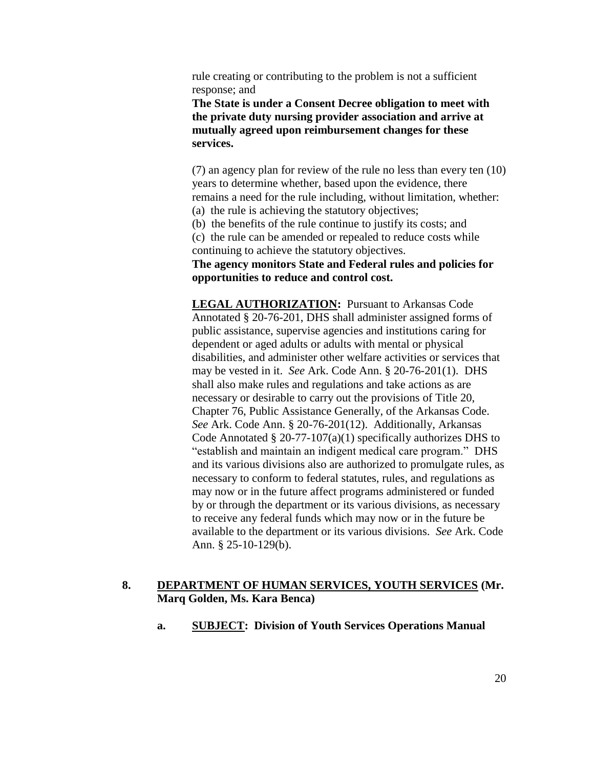rule creating or contributing to the problem is not a sufficient response; and

**The State is under a Consent Decree obligation to meet with the private duty nursing provider association and arrive at mutually agreed upon reimbursement changes for these services.**

(7) an agency plan for review of the rule no less than every ten (10) years to determine whether, based upon the evidence, there remains a need for the rule including, without limitation, whether:

(a) the rule is achieving the statutory objectives;

(b) the benefits of the rule continue to justify its costs; and

(c) the rule can be amended or repealed to reduce costs while continuing to achieve the statutory objectives.

**The agency monitors State and Federal rules and policies for opportunities to reduce and control cost.**

**LEGAL AUTHORIZATION:** Pursuant to Arkansas Code Annotated § 20-76-201, DHS shall administer assigned forms of public assistance, supervise agencies and institutions caring for dependent or aged adults or adults with mental or physical disabilities, and administer other welfare activities or services that may be vested in it. *See* Ark. Code Ann. § 20-76-201(1). DHS shall also make rules and regulations and take actions as are necessary or desirable to carry out the provisions of Title 20, Chapter 76, Public Assistance Generally, of the Arkansas Code. *See* Ark. Code Ann. § 20-76-201(12). Additionally, Arkansas Code Annotated § 20-77-107(a)(1) specifically authorizes DHS to "establish and maintain an indigent medical care program." DHS and its various divisions also are authorized to promulgate rules, as necessary to conform to federal statutes, rules, and regulations as may now or in the future affect programs administered or funded by or through the department or its various divisions, as necessary to receive any federal funds which may now or in the future be available to the department or its various divisions. *See* Ark. Code Ann. § 25-10-129(b).

# **8. DEPARTMENT OF HUMAN SERVICES, YOUTH SERVICES (Mr. Marq Golden, Ms. Kara Benca)**

**a. SUBJECT: Division of Youth Services Operations Manual**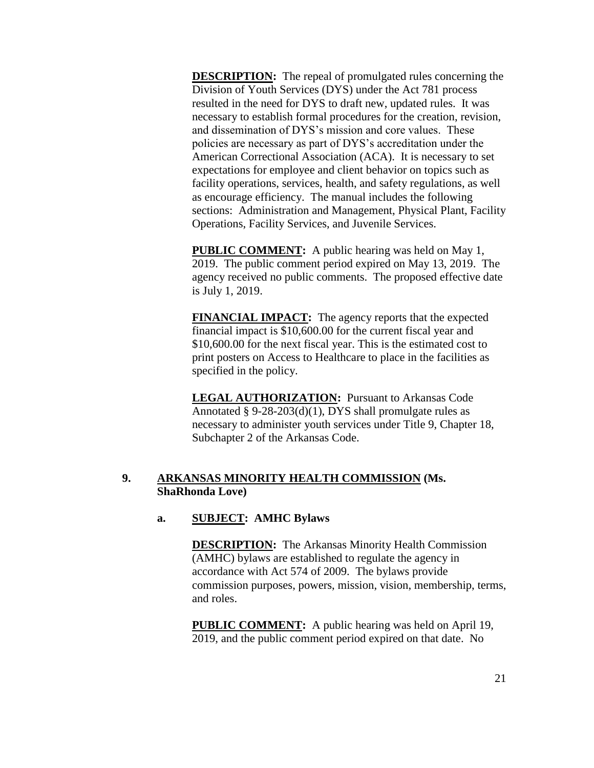**DESCRIPTION:** The repeal of promulgated rules concerning the Division of Youth Services (DYS) under the Act 781 process resulted in the need for DYS to draft new, updated rules. It was necessary to establish formal procedures for the creation, revision, and dissemination of DYS's mission and core values. These policies are necessary as part of DYS's accreditation under the American Correctional Association (ACA). It is necessary to set expectations for employee and client behavior on topics such as facility operations, services, health, and safety regulations, as well as encourage efficiency. The manual includes the following sections: Administration and Management, Physical Plant, Facility Operations, Facility Services, and Juvenile Services.

**PUBLIC COMMENT:** A public hearing was held on May 1, 2019. The public comment period expired on May 13, 2019. The agency received no public comments. The proposed effective date is July 1, 2019.

**FINANCIAL IMPACT:** The agency reports that the expected financial impact is \$10,600.00 for the current fiscal year and \$10,600.00 for the next fiscal year. This is the estimated cost to print posters on Access to Healthcare to place in the facilities as specified in the policy.

**LEGAL AUTHORIZATION:** Pursuant to Arkansas Code Annotated § 9-28-203(d)(1), DYS shall promulgate rules as necessary to administer youth services under Title 9, Chapter 18, Subchapter 2 of the Arkansas Code.

# **9. ARKANSAS MINORITY HEALTH COMMISSION (Ms. ShaRhonda Love)**

# **a. SUBJECT: AMHC Bylaws**

**DESCRIPTION:** The Arkansas Minority Health Commission (AMHC) bylaws are established to regulate the agency in accordance with Act 574 of 2009. The bylaws provide commission purposes, powers, mission, vision, membership, terms, and roles.

**PUBLIC COMMENT:** A public hearing was held on April 19, 2019, and the public comment period expired on that date. No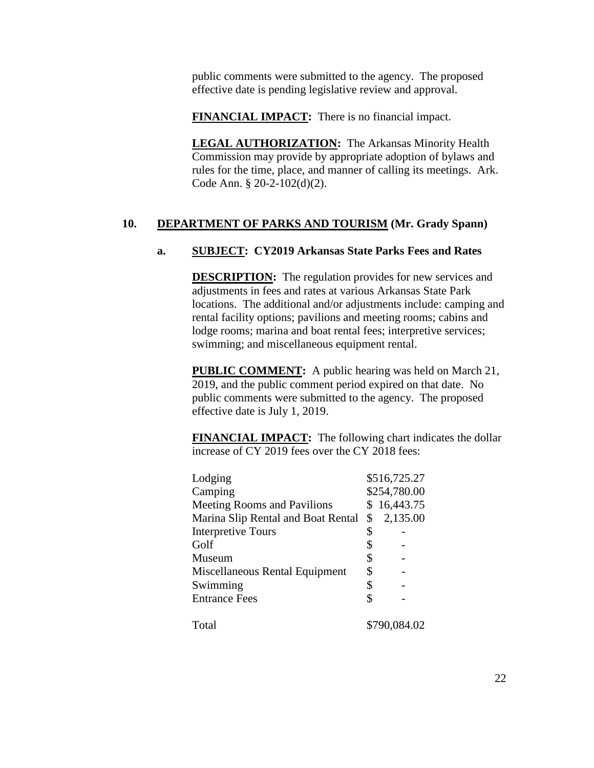public comments were submitted to the agency. The proposed effective date is pending legislative review and approval.

**FINANCIAL IMPACT:** There is no financial impact.

**LEGAL AUTHORIZATION:** The Arkansas Minority Health Commission may provide by appropriate adoption of bylaws and rules for the time, place, and manner of calling its meetings. Ark. Code Ann. § 20-2-102(d)(2).

# **10. DEPARTMENT OF PARKS AND TOURISM (Mr. Grady Spann)**

#### **a. SUBJECT: CY2019 Arkansas State Parks Fees and Rates**

**DESCRIPTION:** The regulation provides for new services and adjustments in fees and rates at various Arkansas State Park locations. The additional and/or adjustments include: camping and rental facility options; pavilions and meeting rooms; cabins and lodge rooms; marina and boat rental fees; interpretive services; swimming; and miscellaneous equipment rental.

**PUBLIC COMMENT:** A public hearing was held on March 21, 2019, and the public comment period expired on that date. No public comments were submitted to the agency. The proposed effective date is July 1, 2019.

**FINANCIAL IMPACT:** The following chart indicates the dollar increase of CY 2019 fees over the CY 2018 fees:

| Lodging                            |              | \$516,725.27 |
|------------------------------------|--------------|--------------|
| Camping                            |              | \$254,780.00 |
| <b>Meeting Rooms and Pavilions</b> |              | \$16,443.75  |
| Marina Slip Rental and Boat Rental | \$           | 2,135.00     |
| <b>Interpretive Tours</b>          | \$           |              |
| Golf                               |              |              |
| Museum                             | \$           |              |
| Miscellaneous Rental Equipment     | \$           |              |
| Swimming                           | \$           |              |
| <b>Entrance Fees</b>               | \$           |              |
| Total                              | \$790,084.02 |              |